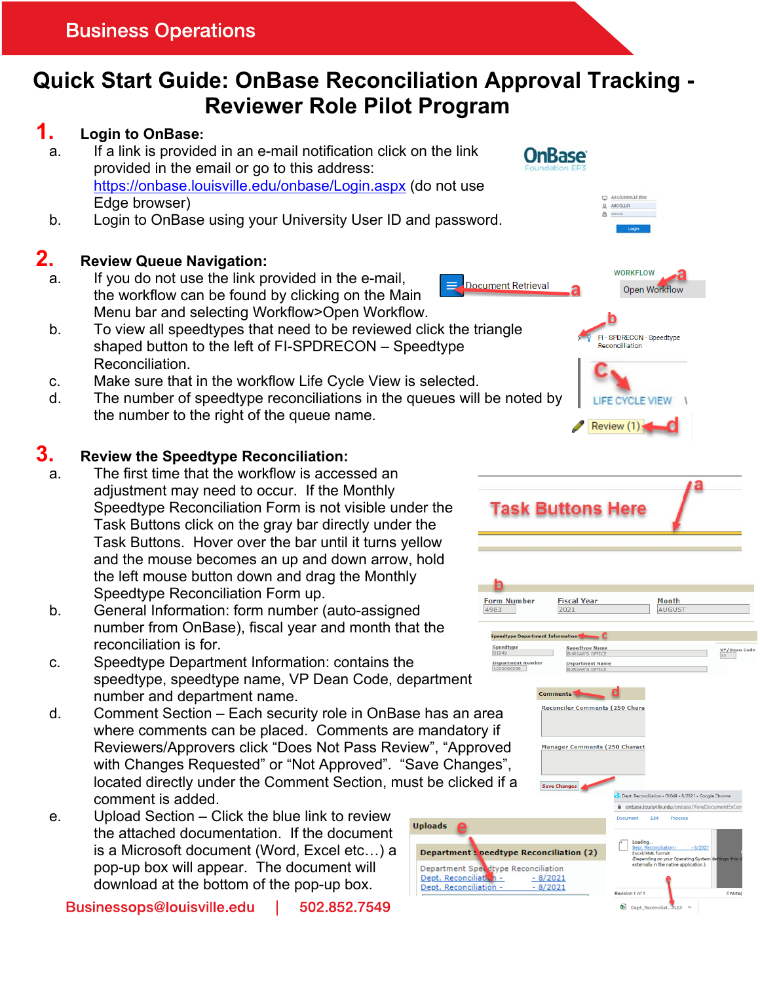# **Quick Start Guide: OnBase Reconciliation Approval Tracking - Reviewer Role Pilot Program**

## **1. Login to OnBase:**

- a. If a link is provided in an e-mail notification click on the link provided in the email or go to this address: https://onbase.louisville.edu/onbase/Login.aspx (do not use Edge browser)
- b. Login to OnBase using your University User ID and password.

### **2. Review Queue Navigation:**

a. If you do not use the link provided in the e-mail, the workflow can be found by clicking on the Main Menu bar and selecting Workflow>Open Workflow.

#### b. To view all speedtypes that need to be reviewed click the triangle shaped button to the left of FI-SPDRECON – Speedtype Reconciliation.

- c. Make sure that in the workflow Life Cycle View is selected.
- d. The number of speedtype reconciliations in the queues will be noted by the number to the right of the queue name.

#### **3. Review the Speedtype Reconciliation:**

- a. The first time that the workflow is accessed an adjustment may need to occur. If the Monthly Speedtype Reconciliation Form is not visible under the Task Buttons click on the gray bar directly under the Task Buttons. Hover over the bar until it turns yellow and the mouse becomes an up and down arrow, hold the left mouse button down and drag the Monthly Speedtype Reconciliation Form up.
- b. General Information: form number (auto-assigned number from OnBase), fiscal year and month that the reconciliation is for.
- c. Speedtype Department Information: contains the speedtype, speedtype name, VP Dean Code, department number and department name.
- d. Comment Section Each security role in OnBase has an area where comments can be placed. Comments are mandatory if Reviewers/Approvers click "Does Not Pass Review", "Approved with Changes Requested" or "Not Approved". "Save Changes", located directly under the Comment Section, must be clicked if a comment is added.
- e. Upload Section Click the blue link to review the attached documentation. If the document is a Microsoft document (Word, Excel etc…) a pop-up box will appear. The document will download at the bottom of the pop-up box.

Businessops@louisville.edu 502,852,7549







**Fiscal Year** 

**Reconciler Comments (250 Chara** 

**Manager Comments (250 Charact** 

2021

Month

**AUGUS** 

 $\frac{\text{VP/Dean Cod}}{12}$ 

Review (1)



**OnBase** 

Document Retrieval

**Form Number** 

Speedtype<br>01049 **Department N** 

4983